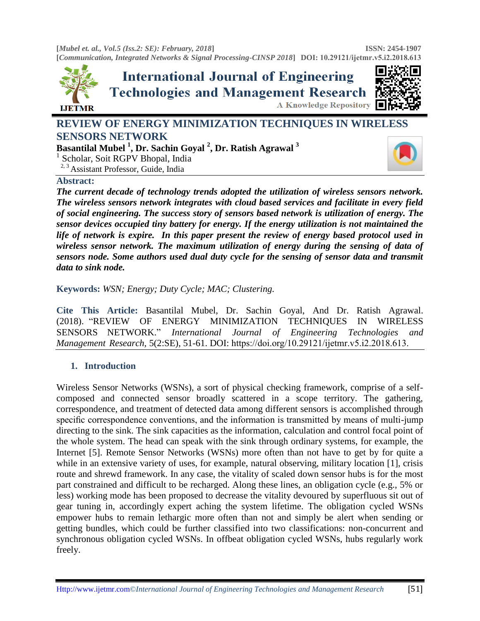**[***Mubel et. al., Vol.5 (Iss.2: SE): February, 2018***] [***Communication, Integrated Networks & Signal Processing-CINSP 2018***] DOI: [10.29121/ijetmr.](http://www.ijetmr.com/)v5.i2.2018.613 ISSN: 2454-1907** 



**REVIEW OF ENERGY MINIMIZATION TECHNIQUES IN WIRELESS SENSORS NETWORK** 

**Basantilal Mubel <sup>1</sup> , Dr. Sachin Goyal <sup>2</sup> , Dr. Ratish Agrawal <sup>3</sup>**

<sup>1</sup> Scholar, Soit RGPV Bhopal, India

<sup>2, 3</sup> Assistant Professor, Guide, India

### **Abstract:**

**LIETMR** 

*The current decade of technology trends adopted the utilization of wireless sensors network. The wireless sensors network integrates with cloud based services and facilitate in every field of social engineering. The success story of sensors based network is utilization of energy. The sensor devices occupied tiny battery for energy. If the energy utilization is not maintained the life of network is expire. In this paper present the review of energy based protocol used in wireless sensor network. The maximum utilization of energy during the sensing of data of sensors node. Some authors used dual duty cycle for the sensing of sensor data and transmit data to sink node.* 

**Keywords:** *WSN; Energy; Duty Cycle; MAC; Clustering.* 

**Cite This Article:** Basantilal Mubel, Dr. Sachin Goyal, And Dr. Ratish Agrawal. (2018). "REVIEW OF ENERGY MINIMIZATION TECHNIQUES IN WIRELESS SENSORS NETWORK." *International Journal of Engineering Technologies and Management Research,* 5(2:SE), 51-61. DOI: https://doi.org/10.29121/ijetmr.v5.i2.2018.613.

# **1. Introduction**

Wireless Sensor Networks (WSNs), a sort of physical checking framework, comprise of a selfcomposed and connected sensor broadly scattered in a scope territory. The gathering, correspondence, and treatment of detected data among different sensors is accomplished through specific correspondence conventions, and the information is transmitted by means of multi-jump directing to the sink. The sink capacities as the information, calculation and control focal point of the whole system. The head can speak with the sink through ordinary systems, for example, the Internet [5]. Remote Sensor Networks (WSNs) more often than not have to get by for quite a while in an extensive variety of uses, for example, natural observing, military location [1], crisis route and shrewd framework. In any case, the vitality of scaled down sensor hubs is for the most part constrained and difficult to be recharged. Along these lines, an obligation cycle (e.g., 5% or less) working mode has been proposed to decrease the vitality devoured by superfluous sit out of gear tuning in, accordingly expert aching the system lifetime. The obligation cycled WSNs empower hubs to remain lethargic more often than not and simply be alert when sending or getting bundles, which could be further classified into two classifications: non-concurrent and synchronous obligation cycled WSNs. In offbeat obligation cycled WSNs, hubs regularly work freely.

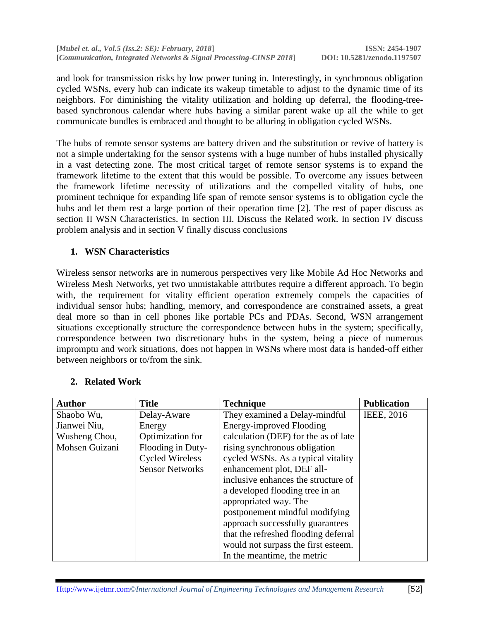and look for transmission risks by low power tuning in. Interestingly, in synchronous obligation cycled WSNs, every hub can indicate its wakeup timetable to adjust to the dynamic time of its neighbors. For diminishing the vitality utilization and holding up deferral, the flooding-treebased synchronous calendar where hubs having a similar parent wake up all the while to get communicate bundles is embraced and thought to be alluring in obligation cycled WSNs.

The hubs of remote sensor systems are battery driven and the substitution or revive of battery is not a simple undertaking for the sensor systems with a huge number of hubs installed physically in a vast detecting zone. The most critical target of remote sensor systems is to expand the framework lifetime to the extent that this would be possible. To overcome any issues between the framework lifetime necessity of utilizations and the compelled vitality of hubs, one prominent technique for expanding life span of remote sensor systems is to obligation cycle the hubs and let them rest a large portion of their operation time [2]. The rest of paper discuss as section II WSN Characteristics. In section III. Discuss the Related work. In section IV discuss problem analysis and in section V finally discuss conclusions

# **1. WSN Characteristics**

Wireless sensor networks are in numerous perspectives very like Mobile Ad Hoc Networks and Wireless Mesh Networks, yet two unmistakable attributes require a different approach. To begin with, the requirement for vitality efficient operation extremely compels the capacities of individual sensor hubs; handling, memory, and correspondence are constrained assets, a great deal more so than in cell phones like portable PCs and PDAs. Second, WSN arrangement situations exceptionally structure the correspondence between hubs in the system; specifically, correspondence between two discretionary hubs in the system, being a piece of numerous impromptu and work situations, does not happen in WSNs where most data is handed-off either between neighbors or to/from the sink.

| <b>Author</b>  | <b>Title</b>           | <b>Technique</b>                     | <b>Publication</b> |
|----------------|------------------------|--------------------------------------|--------------------|
| Shaobo Wu,     | Delay-Aware            | They examined a Delay-mindful        | IEEE, 2016         |
| Jianwei Niu,   | Energy                 | <b>Energy-improved Flooding</b>      |                    |
| Wusheng Chou,  | Optimization for       | calculation (DEF) for the as of late |                    |
| Mohsen Guizani | Flooding in Duty-      | rising synchronous obligation        |                    |
|                | <b>Cycled Wireless</b> | cycled WSNs. As a typical vitality   |                    |
|                | <b>Sensor Networks</b> | enhancement plot, DEF all-           |                    |
|                |                        | inclusive enhances the structure of  |                    |
|                |                        | a developed flooding tree in an      |                    |
|                |                        | appropriated way. The                |                    |
|                |                        | postponement mindful modifying       |                    |
|                |                        | approach successfully guarantees     |                    |
|                |                        | that the refreshed flooding deferral |                    |
|                |                        | would not surpass the first esteem.  |                    |
|                |                        | In the meantime, the metric          |                    |

# **2. Related Work**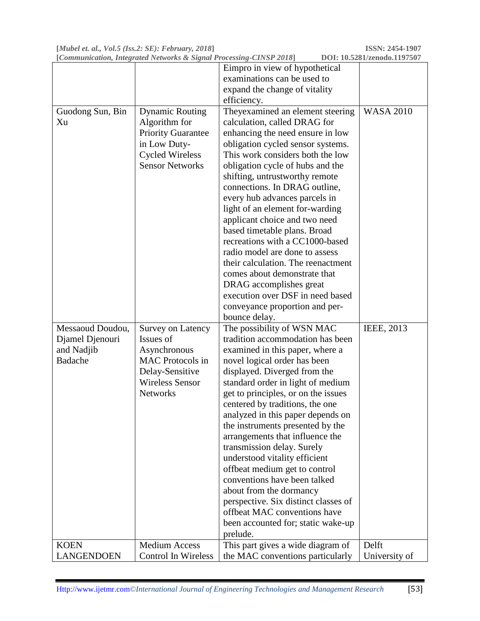**[***Mubel et. al., Vol.5 (Iss.2: SE): February, 2018***] ISSN: 2454-1907** *<u>[Communication, Integrated Networks & Signal Processing-CINSP 2018*]</u>

|                   |                           | Eimpro in view of hypothetical       |                  |
|-------------------|---------------------------|--------------------------------------|------------------|
|                   |                           | examinations can be used to          |                  |
|                   |                           | expand the change of vitality        |                  |
|                   |                           | efficiency.                          |                  |
| Guodong Sun, Bin  | <b>Dynamic Routing</b>    | Theyexamined an element steering     | <b>WASA 2010</b> |
| Xu                | Algorithm for             | calculation, called DRAG for         |                  |
|                   | <b>Priority Guarantee</b> | enhancing the need ensure in low     |                  |
|                   | in Low Duty-              | obligation cycled sensor systems.    |                  |
|                   | <b>Cycled Wireless</b>    | This work considers both the low     |                  |
|                   | <b>Sensor Networks</b>    | obligation cycle of hubs and the     |                  |
|                   |                           | shifting, untrustworthy remote       |                  |
|                   |                           | connections. In DRAG outline,        |                  |
|                   |                           | every hub advances parcels in        |                  |
|                   |                           | light of an element for-warding      |                  |
|                   |                           | applicant choice and two need        |                  |
|                   |                           | based timetable plans. Broad         |                  |
|                   |                           | recreations with a CC1000-based      |                  |
|                   |                           | radio model are done to assess       |                  |
|                   |                           | their calculation. The reenactment   |                  |
|                   |                           | comes about demonstrate that         |                  |
|                   |                           | DRAG accomplishes great              |                  |
|                   |                           | execution over DSF in need based     |                  |
|                   |                           | conveyance proportion and per-       |                  |
|                   |                           | bounce delay.                        |                  |
| Messaoud Doudou,  | Survey on Latency         | The possibility of WSN MAC           | IEEE, 2013       |
| Djamel Djenouri   | Issues of                 | tradition accommodation has been     |                  |
| and Nadjib        | Asynchronous              | examined in this paper, where a      |                  |
| Badache           | <b>MAC</b> Protocols in   | novel logical order has been         |                  |
|                   | Delay-Sensitive           | displayed. Diverged from the         |                  |
|                   | <b>Wireless Sensor</b>    | standard order in light of medium    |                  |
|                   | <b>Networks</b>           | get to principles, or on the issues  |                  |
|                   |                           | centered by traditions, the one      |                  |
|                   |                           | analyzed in this paper depends on    |                  |
|                   |                           | the instruments presented by the     |                  |
|                   |                           | arrangements that influence the      |                  |
|                   |                           | transmission delay. Surely           |                  |
|                   |                           | understood vitality efficient        |                  |
|                   |                           | offbeat medium get to control        |                  |
|                   |                           | conventions have been talked         |                  |
|                   |                           | about from the dormancy              |                  |
|                   |                           | perspective. Six distinct classes of |                  |
|                   |                           | offbeat MAC conventions have         |                  |
|                   |                           | been accounted for; static wake-up   |                  |
|                   |                           | prelude.                             |                  |
| <b>KOEN</b>       | <b>Medium Access</b>      | This part gives a wide diagram of    | Delft            |
| <b>LANGENDOEN</b> | Control In Wireless       | the MAC conventions particularly     | University of    |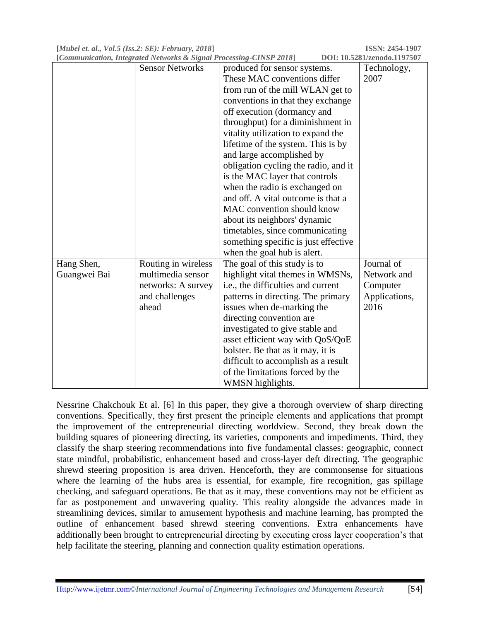**[***Mubel et. al., Vol.5 (Iss.2: SE): February, 2018***] ISSN: 2454-1907**

| [Communication, Integrated Networks & Signal Processing-CINSP 2018]<br>DOI: 10.5281/zenodo.1197507 |                        |                                      |               |  |  |
|----------------------------------------------------------------------------------------------------|------------------------|--------------------------------------|---------------|--|--|
|                                                                                                    | <b>Sensor Networks</b> | produced for sensor systems.         | Technology,   |  |  |
|                                                                                                    |                        | These MAC conventions differ         | 2007          |  |  |
|                                                                                                    |                        | from run of the mill WLAN get to     |               |  |  |
|                                                                                                    |                        | conventions in that they exchange    |               |  |  |
|                                                                                                    |                        | off execution (dormancy and          |               |  |  |
|                                                                                                    |                        | throughput) for a diminishment in    |               |  |  |
|                                                                                                    |                        | vitality utilization to expand the   |               |  |  |
|                                                                                                    |                        | lifetime of the system. This is by   |               |  |  |
|                                                                                                    |                        | and large accomplished by            |               |  |  |
|                                                                                                    |                        | obligation cycling the radio, and it |               |  |  |
|                                                                                                    |                        | is the MAC layer that controls       |               |  |  |
|                                                                                                    |                        | when the radio is exchanged on       |               |  |  |
|                                                                                                    |                        | and off. A vital outcome is that a   |               |  |  |
|                                                                                                    |                        | MAC convention should know           |               |  |  |
|                                                                                                    |                        | about its neighbors' dynamic         |               |  |  |
|                                                                                                    |                        | timetables, since communicating      |               |  |  |
|                                                                                                    |                        | something specific is just effective |               |  |  |
|                                                                                                    |                        | when the goal hub is alert.          |               |  |  |
| Hang Shen,                                                                                         | Routing in wireless    | The goal of this study is to         | Journal of    |  |  |
| Guangwei Bai                                                                                       | multimedia sensor      | highlight vital themes in WMSNs,     | Network and   |  |  |
|                                                                                                    | networks: A survey     | i.e., the difficulties and current   | Computer      |  |  |
|                                                                                                    | and challenges         | patterns in directing. The primary   | Applications, |  |  |
|                                                                                                    | ahead                  | issues when de-marking the           | 2016          |  |  |
|                                                                                                    |                        | directing convention are             |               |  |  |
|                                                                                                    |                        | investigated to give stable and      |               |  |  |
|                                                                                                    |                        | asset efficient way with QoS/QoE     |               |  |  |
|                                                                                                    |                        | bolster. Be that as it may, it is    |               |  |  |
|                                                                                                    |                        | difficult to accomplish as a result  |               |  |  |
|                                                                                                    |                        | of the limitations forced by the     |               |  |  |
|                                                                                                    |                        | WMSN highlights.                     |               |  |  |

Nessrine Chakchouk Et al. [6] In this paper, they give a thorough overview of sharp directing conventions. Specifically, they first present the principle elements and applications that prompt the improvement of the entrepreneurial directing worldview. Second, they break down the building squares of pioneering directing, its varieties, components and impediments. Third, they classify the sharp steering recommendations into five fundamental classes: geographic, connect state mindful, probabilistic, enhancement based and cross-layer deft directing. The geographic shrewd steering proposition is area driven. Henceforth, they are commonsense for situations where the learning of the hubs area is essential, for example, fire recognition, gas spillage checking, and safeguard operations. Be that as it may, these conventions may not be efficient as far as postponement and unwavering quality. This reality alongside the advances made in streamlining devices, similar to amusement hypothesis and machine learning, has prompted the outline of enhancement based shrewd steering conventions. Extra enhancements have additionally been brought to entrepreneurial directing by executing cross layer cooperation's that help facilitate the steering, planning and connection quality estimation operations.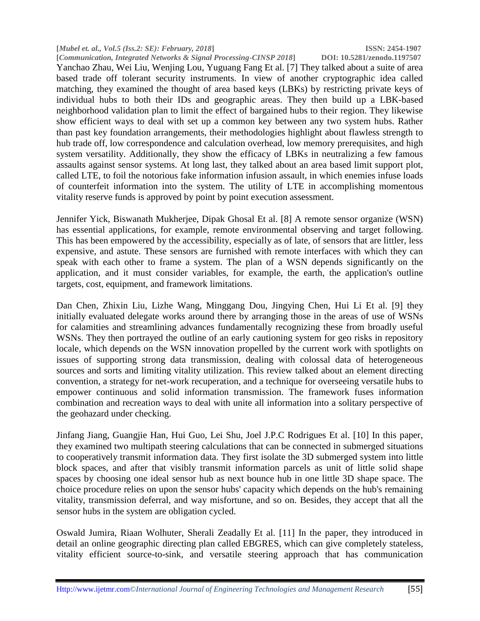**[***Mubel et. al., Vol.5 (Iss.2: SE): February, 2018***] ISSN: 2454-1907** *<u>[Communication, Integrated Networks & Signal Processing-CINSP 2018*]</u>

Yanchao Zhau, Wei Liu, Wenjing Lou, Yuguang Fang Et al. [7] They talked about a suite of area based trade off tolerant security instruments. In view of another cryptographic idea called matching, they examined the thought of area based keys (LBKs) by restricting private keys of individual hubs to both their IDs and geographic areas. They then build up a LBK-based neighborhood validation plan to limit the effect of bargained hubs to their region. They likewise show efficient ways to deal with set up a common key between any two system hubs. Rather than past key foundation arrangements, their methodologies highlight about flawless strength to hub trade off, low correspondence and calculation overhead, low memory prerequisites, and high system versatility. Additionally, they show the efficacy of LBKs in neutralizing a few famous assaults against sensor systems. At long last, they talked about an area based limit support plot, called LTE, to foil the notorious fake information infusion assault, in which enemies infuse loads of counterfeit information into the system. The utility of LTE in accomplishing momentous vitality reserve funds is approved by point by point execution assessment.

Jennifer Yick, Biswanath Mukherjee, Dipak Ghosal Et al. [8] A remote sensor organize (WSN) has essential applications, for example, remote environmental observing and target following. This has been empowered by the accessibility, especially as of late, of sensors that are littler, less expensive, and astute. These sensors are furnished with remote interfaces with which they can speak with each other to frame a system. The plan of a WSN depends significantly on the application, and it must consider variables, for example, the earth, the application's outline targets, cost, equipment, and framework limitations.

Dan Chen, Zhixin Liu, Lizhe Wang, Minggang Dou, Jingying Chen, Hui Li Et al. [9] they initially evaluated delegate works around there by arranging those in the areas of use of WSNs for calamities and streamlining advances fundamentally recognizing these from broadly useful WSNs. They then portrayed the outline of an early cautioning system for geo risks in repository locale, which depends on the WSN innovation propelled by the current work with spotlights on issues of supporting strong data transmission, dealing with colossal data of heterogeneous sources and sorts and limiting vitality utilization. This review talked about an element directing convention, a strategy for net-work recuperation, and a technique for overseeing versatile hubs to empower continuous and solid information transmission. The framework fuses information combination and recreation ways to deal with unite all information into a solitary perspective of the geohazard under checking.

Jinfang Jiang, Guangjie Han, Hui Guo, Lei Shu, Joel J.P.C Rodrigues Et al. [10] In this paper, they examined two multipath steering calculations that can be connected in submerged situations to cooperatively transmit information data. They first isolate the 3D submerged system into little block spaces, and after that visibly transmit information parcels as unit of little solid shape spaces by choosing one ideal sensor hub as next bounce hub in one little 3D shape space. The choice procedure relies on upon the sensor hubs' capacity which depends on the hub's remaining vitality, transmission deferral, and way misfortune, and so on. Besides, they accept that all the sensor hubs in the system are obligation cycled.

Oswald Jumira, Riaan Wolhuter, Sherali Zeadally Et al. [11] In the paper, they introduced in detail an online geographic directing plan called EBGRES, which can give completely stateless, vitality efficient source-to-sink, and versatile steering approach that has communication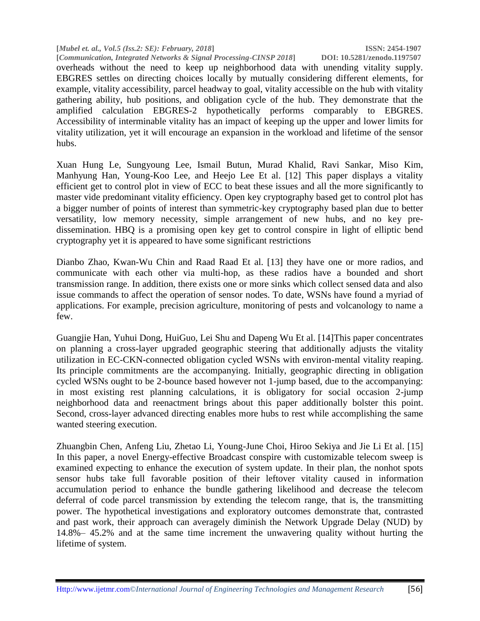**[***Mubel et. al., Vol.5 (Iss.2: SE): February, 2018***] ISSN: 2454-1907 [Communication, Integrated Networks & Signal Processing-CINSP 2018]** overheads without the need to keep up neighborhood data with unending vitality supply. EBGRES settles on directing choices locally by mutually considering different elements, for example, vitality accessibility, parcel headway to goal, vitality accessible on the hub with vitality gathering ability, hub positions, and obligation cycle of the hub. They demonstrate that the amplified calculation EBGRES-2 hypothetically performs comparably to EBGRES. Accessibility of interminable vitality has an impact of keeping up the upper and lower limits for vitality utilization, yet it will encourage an expansion in the workload and lifetime of the sensor hubs.

Xuan Hung Le, Sungyoung Lee, Ismail Butun, Murad Khalid, Ravi Sankar, Miso Kim, Manhyung Han, Young-Koo Lee, and Heejo Lee Et al. [12] This paper displays a vitality efficient get to control plot in view of ECC to beat these issues and all the more significantly to master vide predominant vitality efficiency. Open key cryptography based get to control plot has a bigger number of points of interest than symmetric-key cryptography based plan due to better versatility, low memory necessity, simple arrangement of new hubs, and no key predissemination. HBQ is a promising open key get to control conspire in light of elliptic bend cryptography yet it is appeared to have some significant restrictions

Dianbo Zhao, Kwan-Wu Chin and Raad Raad Et al. [13] they have one or more radios, and communicate with each other via multi-hop, as these radios have a bounded and short transmission range. In addition, there exists one or more sinks which collect sensed data and also issue commands to affect the operation of sensor nodes. To date, WSNs have found a myriad of applications. For example, precision agriculture, monitoring of pests and volcanology to name a few.

Guangjie Han, Yuhui Dong, HuiGuo, Lei Shu and Dapeng Wu Et al. [14]This paper concentrates on planning a cross-layer upgraded geographic steering that additionally adjusts the vitality utilization in EC-CKN-connected obligation cycled WSNs with environ-mental vitality reaping. Its principle commitments are the accompanying. Initially, geographic directing in obligation cycled WSNs ought to be 2-bounce based however not 1-jump based, due to the accompanying: in most existing rest planning calculations, it is obligatory for social occasion 2-jump neighborhood data and reenactment brings about this paper additionally bolster this point. Second, cross-layer advanced directing enables more hubs to rest while accomplishing the same wanted steering execution.

Zhuangbin Chen, Anfeng Liu, Zhetao Li, Young-June Choi, Hiroo Sekiya and Jie Li Et al. [15] In this paper, a novel Energy-effective Broadcast conspire with customizable telecom sweep is examined expecting to enhance the execution of system update. In their plan, the nonhot spots sensor hubs take full favorable position of their leftover vitality caused in information accumulation period to enhance the bundle gathering likelihood and decrease the telecom deferral of code parcel transmission by extending the telecom range, that is, the transmitting power. The hypothetical investigations and exploratory outcomes demonstrate that, contrasted and past work, their approach can averagely diminish the Network Upgrade Delay (NUD) by 14.8%– 45.2% and at the same time increment the unwavering quality without hurting the lifetime of system.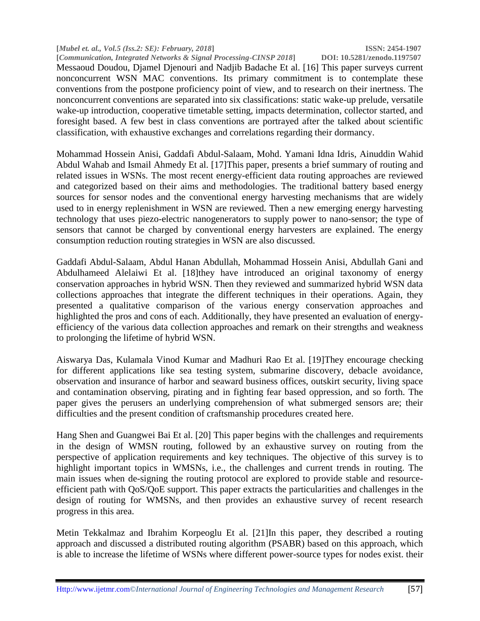**[***Mubel et. al., Vol.5 (Iss.2: SE): February, 2018***] ISSN: 2454-1907 [Communication, Integrated Networks & Signal Processing-CINSP 2018]** Messaoud Doudou, Djamel Djenouri and Nadjib Badache Et al. [16] This paper surveys current nonconcurrent WSN MAC conventions. Its primary commitment is to contemplate these conventions from the postpone proficiency point of view, and to research on their inertness. The nonconcurrent conventions are separated into six classifications: static wake-up prelude, versatile wake-up introduction, cooperative timetable setting, impacts determination, collector started, and foresight based. A few best in class conventions are portrayed after the talked about scientific classification, with exhaustive exchanges and correlations regarding their dormancy.

Mohammad Hossein Anisi, Gaddafi Abdul-Salaam, Mohd. Yamani Idna Idris, Ainuddin Wahid Abdul Wahab and Ismail Ahmedy Et al. [17]This paper, presents a brief summary of routing and related issues in WSNs. The most recent energy-efficient data routing approaches are reviewed and categorized based on their aims and methodologies. The traditional battery based energy sources for sensor nodes and the conventional energy harvesting mechanisms that are widely used to in energy replenishment in WSN are reviewed. Then a new emerging energy harvesting technology that uses piezo-electric nanogenerators to supply power to nano-sensor; the type of sensors that cannot be charged by conventional energy harvesters are explained. The energy consumption reduction routing strategies in WSN are also discussed.

Gaddafi Abdul-Salaam, Abdul Hanan Abdullah, Mohammad Hossein Anisi, Abdullah Gani and Abdulhameed Alelaiwi Et al. [18]they have introduced an original taxonomy of energy conservation approaches in hybrid WSN. Then they reviewed and summarized hybrid WSN data collections approaches that integrate the different techniques in their operations. Again, they presented a qualitative comparison of the various energy conservation approaches and highlighted the pros and cons of each. Additionally, they have presented an evaluation of energyefficiency of the various data collection approaches and remark on their strengths and weakness to prolonging the lifetime of hybrid WSN.

Aiswarya Das, Kulamala Vinod Kumar and Madhuri Rao Et al. [19]They encourage checking for different applications like sea testing system, submarine discovery, debacle avoidance, observation and insurance of harbor and seaward business offices, outskirt security, living space and contamination observing, pirating and in fighting fear based oppression, and so forth. The paper gives the perusers an underlying comprehension of what submerged sensors are; their difficulties and the present condition of craftsmanship procedures created here.

Hang Shen and Guangwei Bai Et al. [20] This paper begins with the challenges and requirements in the design of WMSN routing, followed by an exhaustive survey on routing from the perspective of application requirements and key techniques. The objective of this survey is to highlight important topics in WMSNs, i.e., the challenges and current trends in routing. The main issues when de-signing the routing protocol are explored to provide stable and resourceefficient path with QoS/QoE support. This paper extracts the particularities and challenges in the design of routing for WMSNs, and then provides an exhaustive survey of recent research progress in this area.

Metin Tekkalmaz and Ibrahim Korpeoglu Et al. [21]In this paper, they described a routing approach and discussed a distributed routing algorithm (PSABR) based on this approach, which is able to increase the lifetime of WSNs where different power-source types for nodes exist. their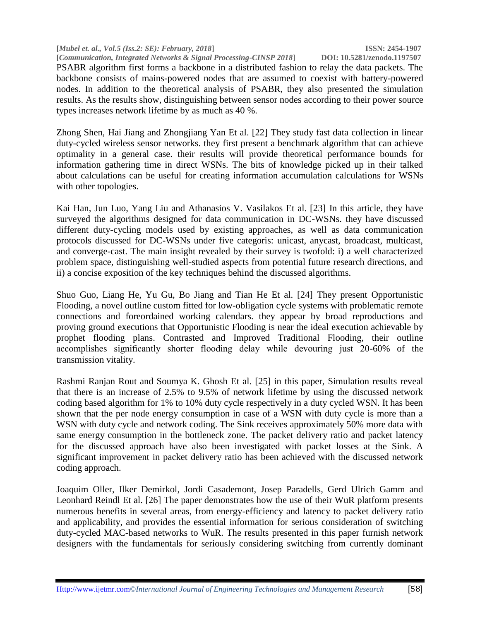**[***Mubel et. al., Vol.5 (Iss.2: SE): February, 2018***] ISSN: 2454-1907**

**[Communication, Integrated Networks & Signal Processing-CINSP 2018]** PSABR algorithm first forms a backbone in a distributed fashion to relay the data packets. The backbone consists of mains-powered nodes that are assumed to coexist with battery-powered nodes. In addition to the theoretical analysis of PSABR, they also presented the simulation results. As the results show, distinguishing between sensor nodes according to their power source types increases network lifetime by as much as 40 %.

Zhong Shen, Hai Jiang and Zhongjiang Yan Et al. [22] They study fast data collection in linear duty-cycled wireless sensor networks. they first present a benchmark algorithm that can achieve optimality in a general case. their results will provide theoretical performance bounds for information gathering time in direct WSNs. The bits of knowledge picked up in their talked about calculations can be useful for creating information accumulation calculations for WSNs with other topologies.

Kai Han, Jun Luo, Yang Liu and Athanasios V. Vasilakos Et al. [23] In this article, they have surveyed the algorithms designed for data communication in DC-WSNs. they have discussed different duty-cycling models used by existing approaches, as well as data communication protocols discussed for DC-WSNs under five categoris: unicast, anycast, broadcast, multicast, and converge-cast. The main insight revealed by their survey is twofold: i) a well characterized problem space, distinguishing well-studied aspects from potential future research directions, and ii) a concise exposition of the key techniques behind the discussed algorithms.

Shuo Guo, Liang He, Yu Gu, Bo Jiang and Tian He Et al. [24] They present Opportunistic Flooding, a novel outline custom fitted for low-obligation cycle systems with problematic remote connections and foreordained working calendars. they appear by broad reproductions and proving ground executions that Opportunistic Flooding is near the ideal execution achievable by prophet flooding plans. Contrasted and Improved Traditional Flooding, their outline accomplishes significantly shorter flooding delay while devouring just 20-60% of the transmission vitality.

Rashmi Ranjan Rout and Soumya K. Ghosh Et al. [25] in this paper, Simulation results reveal that there is an increase of 2.5% to 9.5% of network lifetime by using the discussed network coding based algorithm for 1% to 10% duty cycle respectively in a duty cycled WSN. It has been shown that the per node energy consumption in case of a WSN with duty cycle is more than a WSN with duty cycle and network coding. The Sink receives approximately 50% more data with same energy consumption in the bottleneck zone. The packet delivery ratio and packet latency for the discussed approach have also been investigated with packet losses at the Sink. A significant improvement in packet delivery ratio has been achieved with the discussed network coding approach.

Joaquim Oller, Ilker Demirkol, Jordi Casademont, Josep Paradells, Gerd Ulrich Gamm and Leonhard Reindl Et al. [26] The paper demonstrates how the use of their WuR platform presents numerous benefits in several areas, from energy-efficiency and latency to packet delivery ratio and applicability, and provides the essential information for serious consideration of switching duty-cycled MAC-based networks to WuR. The results presented in this paper furnish network designers with the fundamentals for seriously considering switching from currently dominant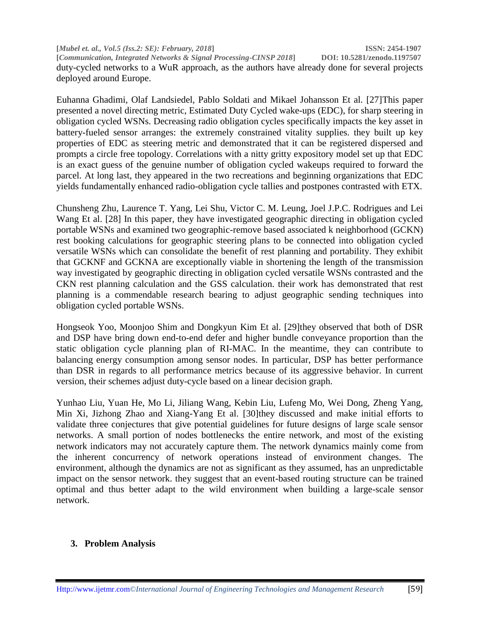**[***Mubel et. al., Vol.5 (Iss.2: SE): February, 2018***] ISSN: 2454-1907 [***Communication, Integrated Networks & Signal Processing-CINSP 2018***] DOI: 10.5281/zenodo.1197507** duty-cycled networks to a WuR approach, as the authors have already done for several projects deployed around Europe.

Euhanna Ghadimi, Olaf Landsiedel, Pablo Soldati and Mikael Johansson Et al. [27]This paper presented a novel directing metric, Estimated Duty Cycled wake-ups (EDC), for sharp steering in obligation cycled WSNs. Decreasing radio obligation cycles specifically impacts the key asset in battery-fueled sensor arranges: the extremely constrained vitality supplies. they built up key properties of EDC as steering metric and demonstrated that it can be registered dispersed and prompts a circle free topology. Correlations with a nitty gritty expository model set up that EDC is an exact guess of the genuine number of obligation cycled wakeups required to forward the parcel. At long last, they appeared in the two recreations and beginning organizations that EDC yields fundamentally enhanced radio-obligation cycle tallies and postpones contrasted with ETX.

Chunsheng Zhu, Laurence T. Yang, Lei Shu, Victor C. M. Leung, Joel J.P.C. Rodrigues and Lei Wang Et al. [28] In this paper, they have investigated geographic directing in obligation cycled portable WSNs and examined two geographic-remove based associated k neighborhood (GCKN) rest booking calculations for geographic steering plans to be connected into obligation cycled versatile WSNs which can consolidate the benefit of rest planning and portability. They exhibit that GCKNF and GCKNA are exceptionally viable in shortening the length of the transmission way investigated by geographic directing in obligation cycled versatile WSNs contrasted and the CKN rest planning calculation and the GSS calculation. their work has demonstrated that rest planning is a commendable research bearing to adjust geographic sending techniques into obligation cycled portable WSNs.

Hongseok Yoo, Moonjoo Shim and Dongkyun Kim Et al. [29]they observed that both of DSR and DSP have bring down end-to-end defer and higher bundle conveyance proportion than the static obligation cycle planning plan of RI-MAC. In the meantime, they can contribute to balancing energy consumption among sensor nodes. In particular, DSP has better performance than DSR in regards to all performance metrics because of its aggressive behavior. In current version, their schemes adjust duty-cycle based on a linear decision graph.

Yunhao Liu, Yuan He, Mo Li, Jiliang Wang, Kebin Liu, Lufeng Mo, Wei Dong, Zheng Yang, Min Xi, Jizhong Zhao and Xiang-Yang Et al. [30]they discussed and make initial efforts to validate three conjectures that give potential guidelines for future designs of large scale sensor networks. A small portion of nodes bottlenecks the entire network, and most of the existing network indicators may not accurately capture them. The network dynamics mainly come from the inherent concurrency of network operations instead of environment changes. The environment, although the dynamics are not as significant as they assumed, has an unpredictable impact on the sensor network. they suggest that an event-based routing structure can be trained optimal and thus better adapt to the wild environment when building a large-scale sensor network.

# **3. Problem Analysis**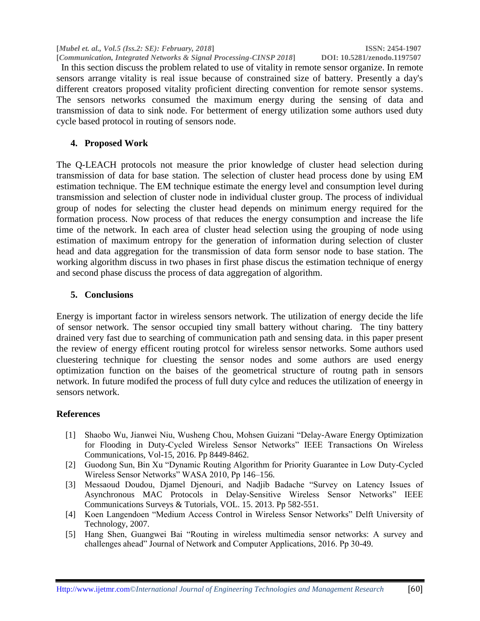**[***Mubel et. al., Vol.5 (Iss.2: SE): February, 2018***] ISSN: 2454-1907 [***Communication, Integrated Networks & Signal Processing-CINSP 2018***] DOI: 10.5281/zenodo.1197507**

 In this section discuss the problem related to use of vitality in remote sensor organize. In remote sensors arrange vitality is real issue because of constrained size of battery. Presently a day's different creators proposed vitality proficient directing convention for remote sensor systems. The sensors networks consumed the maximum energy during the sensing of data and transmission of data to sink node. For betterment of energy utilization some authors used duty cycle based protocol in routing of sensors node.

## **4. Proposed Work**

The Q-LEACH protocols not measure the prior knowledge of cluster head selection during transmission of data for base station. The selection of cluster head process done by using EM estimation technique. The EM technique estimate the energy level and consumption level during transmission and selection of cluster node in individual cluster group. The process of individual group of nodes for selecting the cluster head depends on minimum energy required for the formation process. Now process of that reduces the energy consumption and increase the life time of the network. In each area of cluster head selection using the grouping of node using estimation of maximum entropy for the generation of information during selection of cluster head and data aggregation for the transmission of data form sensor node to base station. The working algorithm discuss in two phases in first phase discus the estimation technique of energy and second phase discuss the process of data aggregation of algorithm.

### **5. Conclusions**

Energy is important factor in wireless sensors network. The utilization of energy decide the life of sensor network. The sensor occupied tiny small battery without charing. The tiny battery drained very fast due to searching of communication path and sensing data. in this paper present the review of energy efficent routing protcol for wireless sensor networks. Some authors used cluestering technique for cluesting the sensor nodes and some authors are used energy optimization function on the baises of the geometrical structure of routng path in sensors network. In future modifed the process of full duty cylce and reduces the utilization of eneergy in sensors network.

# **References**

- [1] Shaobo Wu, Jianwei Niu, Wusheng Chou, Mohsen Guizani "Delay-Aware Energy Optimization for Flooding in Duty-Cycled Wireless Sensor Networks" IEEE Transactions On Wireless Communications, Vol-15, 2016. Pp 8449-8462.
- [2] Guodong Sun, Bin Xu "Dynamic Routing Algorithm for Priority Guarantee in Low Duty-Cycled Wireless Sensor Networks" WASA 2010, Pp 146–156.
- [3] Messaoud Doudou, Djamel Djenouri, and Nadjib Badache "Survey on Latency Issues of Asynchronous MAC Protocols in Delay-Sensitive Wireless Sensor Networks" IEEE Communications Surveys & Tutorials, VOL. 15. 2013. Pp 582-551.
- [4] Koen Langendoen "Medium Access Control in Wireless Sensor Networks" Delft University of Technology, 2007.
- [5] Hang Shen, Guangwei Bai "Routing in wireless multimedia sensor networks: A survey and challenges ahead" Journal of Network and Computer Applications, 2016. Pp 30-49.